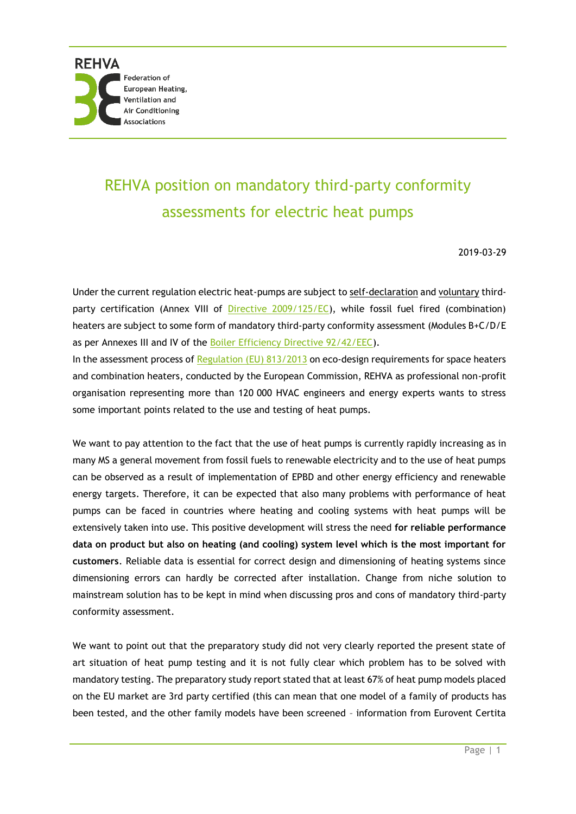## REHVA position on mandatory third-party conformity assessments for electric heat pumps

2019-03-29

Under the current regulation electric heat-pumps are subject to self-declaration and voluntary third-party certification (Annex VIII of [Directive 2009/125/EC\)](https://eur-lex.europa.eu/LexUriServ/LexUriServ.do?uri=OJ:L:2009:285:0010:0035:en:PDF), while fossil fuel fired (combination) heaters are subject to some form of mandatory third-party conformity assessment (Modules B+C/D/E as per Annexes III and IV of the [Boiler Efficiency Directive 92/42/EEC\)](https://eur-lex.europa.eu/legal-content/EN/TXT/PDF/?uri=CELEX:31992L0042&from=EN). In the assessment process of [Regulation \(EU\) 813/2013](https://eur-lex.europa.eu/legal-content/EN/TXT/PDF/?uri=CELEX:32013R0813&from=EN) on eco-design requirements for space heaters and combination heaters, conducted by the European Commission, REHVA as professional non-profit organisation representing more than 120 000 HVAC engineers and energy experts wants to stress some important points related to the use and testing of heat pumps.

We want to pay attention to the fact that the use of heat pumps is currently rapidly increasing as in many MS a general movement from fossil fuels to renewable electricity and to the use of heat pumps can be observed as a result of implementation of EPBD and other energy efficiency and renewable energy targets. Therefore, it can be expected that also many problems with performance of heat pumps can be faced in countries where heating and cooling systems with heat pumps will be extensively taken into use. This positive development will stress the need **for reliable performance data on product but also on heating (and cooling) system level which is the most important for customers**. Reliable data is essential for correct design and dimensioning of heating systems since dimensioning errors can hardly be corrected after installation. Change from niche solution to mainstream solution has to be kept in mind when discussing pros and cons of mandatory third-party conformity assessment.

We want to point out that the preparatory study did not very clearly reported the present state of art situation of heat pump testing and it is not fully clear which problem has to be solved with mandatory testing. The preparatory study report stated that at least 67% of heat pump models placed on the EU market are 3rd party certified (this can mean that one model of a family of products has been tested, and the other family models have been screened – information from Eurovent Certita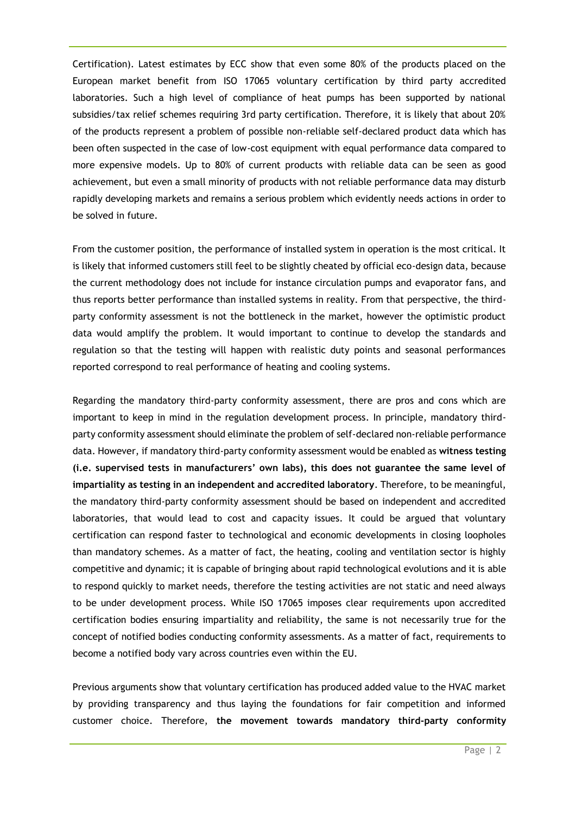Certification). Latest estimates by ECC show that even some 80% of the products placed on the European market benefit from ISO 17065 voluntary certification by third party accredited laboratories. Such a high level of compliance of heat pumps has been supported by national subsidies/tax relief schemes requiring 3rd party certification. Therefore, it is likely that about 20% of the products represent a problem of possible non-reliable self-declared product data which has been often suspected in the case of low-cost equipment with equal performance data compared to more expensive models. Up to 80% of current products with reliable data can be seen as good achievement, but even a small minority of products with not reliable performance data may disturb rapidly developing markets and remains a serious problem which evidently needs actions in order to be solved in future.

From the customer position, the performance of installed system in operation is the most critical. It is likely that informed customers still feel to be slightly cheated by official eco-design data, because the current methodology does not include for instance circulation pumps and evaporator fans, and thus reports better performance than installed systems in reality. From that perspective, the thirdparty conformity assessment is not the bottleneck in the market, however the optimistic product data would amplify the problem. It would important to continue to develop the standards and regulation so that the testing will happen with realistic duty points and seasonal performances reported correspond to real performance of heating and cooling systems.

Regarding the mandatory third-party conformity assessment, there are pros and cons which are important to keep in mind in the regulation development process. In principle, mandatory thirdparty conformity assessment should eliminate the problem of self-declared non-reliable performance data. However, if mandatory third-party conformity assessment would be enabled as **witness testing (i.e. supervised tests in manufacturers' own labs), this does not guarantee the same level of impartiality as testing in an independent and accredited laboratory**. Therefore, to be meaningful, the mandatory third-party conformity assessment should be based on independent and accredited laboratories, that would lead to cost and capacity issues. It could be argued that voluntary certification can respond faster to technological and economic developments in closing loopholes than mandatory schemes. As a matter of fact, the heating, cooling and ventilation sector is highly competitive and dynamic; it is capable of bringing about rapid technological evolutions and it is able to respond quickly to market needs, therefore the testing activities are not static and need always to be under development process. While ISO 17065 imposes clear requirements upon accredited certification bodies ensuring impartiality and reliability, the same is not necessarily true for the concept of notified bodies conducting conformity assessments. As a matter of fact, requirements to become a notified body vary across countries even within the EU.

Previous arguments show that voluntary certification has produced added value to the HVAC market by providing transparency and thus laying the foundations for fair competition and informed customer choice. Therefore, **the movement towards mandatory third-party conformity**